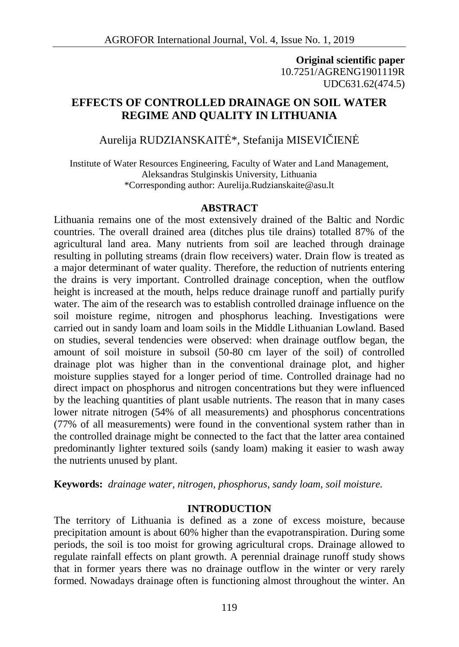**Original scientific paper** 10.7251/AGRENG1901119R UDC631.62(474.5)

# **EFFECTS OF CONTROLLED DRAINAGE ON SOIL WATER REGIME AND QUALITY IN LITHUANIA**

# Aurelija RUDZIANSKAIT<sup>\*</sup>, Stefanija MISEVI IEN

Institute of Water Resources Engineering, Faculty of Water and Land Management, Aleksandras Stulginskis University, Lithuania \*Corresponding author: Aurelija.Rudzianskaite@asu.lt

#### **ABSTRACT**

Lithuania remains one of the most extensively drained of the Baltic and Nordic countries. The overall drained area (ditches plus tile drains) totalled 87% of the agricultural land area. Many nutrients from soil are leached through drainage resulting in polluting streams (drain flow receivers) water. Drain flow is treated as a major determinant of water quality. Therefore, the reduction of nutrients entering the drains is very important. Controlled drainage conception, when the outflow height is increased at the mouth, helps reduce drainage runoff and partially purify water. The aim of the research was to establish controlled drainage influence on the soil moisture regime, nitrogen and phosphorus leaching. Investigations were carried out in sandy loam and loam soils in the Middle Lithuanian Lowland. Based on studies, several tendencies were observed: when drainage outflow began, the amount of soil moisture in subsoil (50-80 cm layer of the soil) of controlled drainage plot was higher than in the conventional drainage plot, and higher moisture supplies stayed for a longer period of time. Controlled drainage had no direct impact on phosphorus and nitrogen concentrations but they were influenced by the leaching quantities of plant usable nutrients. The reason that in many cases lower nitrate nitrogen (54% of all measurements) and phosphorus concentrations (77% of all measurements) were found in the conventional system rather than in the controlled drainage might be connected to the fact that the latter area contained predominantly lighter textured soils (sandy loam) making it easier to wash away the nutrients unused by plant.

**Keywords:** *drainage water, nitrogen, phosphorus, sandy loam, soil moisture.*

#### **INTRODUCTION**

The territory of Lithuania is defined as a zone of excess moisture, because precipitation amount is about 60% higher than the evapotranspiration. During some periods, the soil is too moist for growing agricultural crops. Drainage allowed to regulate rainfall effects on plant growth. A perennial drainage runoff study shows that in former years there was no drainage outflow in the winter or very rarely formed. Nowadays drainage often is functioning almost throughout the winter. An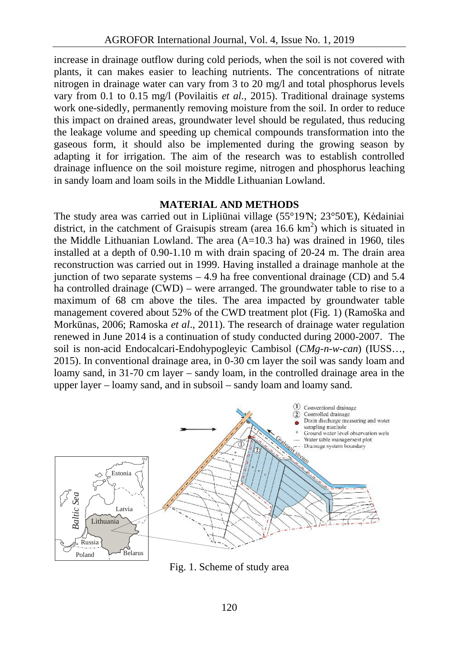increase in drainage outflow during cold periods, when the soil is not covered with plants, it can makes easier to leaching nutrients. The concentrations of nitrate nitrogen in drainage water can vary from 3 to 20 mg/l and total phosphorus levels vary from 0.1 to 0.15 mg/l (Povilaitis *et al.*, 2015). Traditional drainage systems work one-sidedly, permanently removing moisture from the soil. In order to reduce this impact on drained areas, groundwater level should be regulated, thus reducing the leakage volume and speeding up chemical compounds transformation into the gaseous form, it should also be implemented during the growing season by adapting it for irrigation. The aim of the research was to establish controlled drainage influence on the soil moisture regime, nitrogen and phosphorus leaching in sandy loam and loam soils in the Middle Lithuanian Lowland.

#### **MATERIAL AND METHODS**

The study area was carried out in Lipli nai village  $(55^{\circ}19'N; 23^{\circ}50'E)$ , K dainiai district, in the catchment of Graisupis stream (area  $16.6 \text{ km}^2$ ) which is situated in the Middle Lithuanian Lowland. The area  $(A=10.3$  ha) was drained in 1960, tiles installed at a depth of 0.90-1.10 m with drain spacing of 20-24 m. The drain area reconstruction was carried out in 1999. Having installed a drainage manhole at the junction of two separate systems  $-4.9$  ha free conventional drainage (CD) and 5.4 ha controlled drainage (CWD) – were arranged. The groundwater table to rise to a maximum of 68 cm above the tiles. The area impacted by groundwater table management covered about 52% of the CWD treatment plot (Fig. 1) (Ramoška and Mork nas, 2006; Ramoska *et al.*, 2011). The research of drainage water regulation renewed in June 2014 is a continuation of study conducted during 2000-2007. The soil is non-acid Endocalcari-Endohypogleyic Cambisol (*CMg-n-w-can*) (IUSS…, 2015). In conventional drainage area, in 0-30 cm layer the soil was sandy loam and loamy sand, in 31-70 cm layer – sandy loam, in the controlled drainage area in the upper layer – loamy sand, and in subsoil – sandy loam and loamy sand.



Fig. 1. Scheme of study area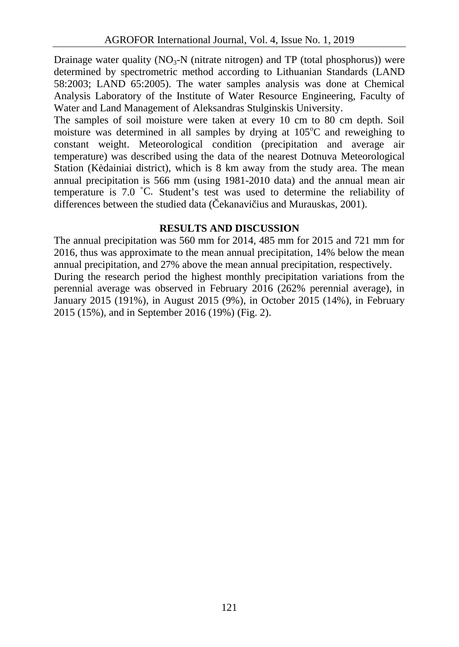Drainage water quality  $(NO_3-N$  (nitrate nitrogen) and TP (total phosphorus)) were determined by spectrometric method according to Lithuanian Standards (LAND 58:2003; LAND 65:2005). The water samples analysis was done at Chemical Analysis Laboratory of the Institute of Water Resource Engineering, Faculty of Water and Land Management of Aleksandras Stulginskis University.

The samples of soil moisture were taken at every 10 cm to 80 cm depth. Soil moisture was determined in all samples by drying at  $105^{\circ}$ C and reweighing to constant weight. Meteorological condition (precipitation and average air temperature) was described using the data of the nearest Dotnuva Meteorological Station (K dainiai district), which is  $8 \text{ km}$  away from the study area. The mean annual precipitation is 566 mm (using 1981-2010 data) and the annual mean air temperature is 7.0 ˚C. Student's test was used to determine the reliability of differences between the studied data (ekanavi ius and Murauskas, 2001).

# **RESULTS AND DISCUSSION**

The annual precipitation was 560 mm for 2014, 485 mm for 2015 and 721 mm for 2016, thus was approximate to the mean annual precipitation, 14% below the mean annual precipitation, and 27% above the mean annual precipitation, respectively. During the research period the highest monthly precipitation variations from the perennial average was observed in February 2016 (262% perennial average), in January 2015 (191%), in August 2015 (9%), in October 2015 (14%), in February 2015 (15%), and in September 2016 (19%) (Fig. 2).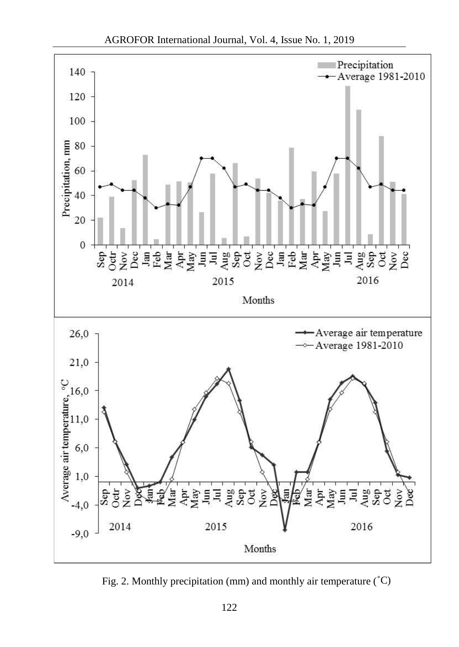

Fig. 2. Monthly precipitation (mm) and monthly air temperature (˚C)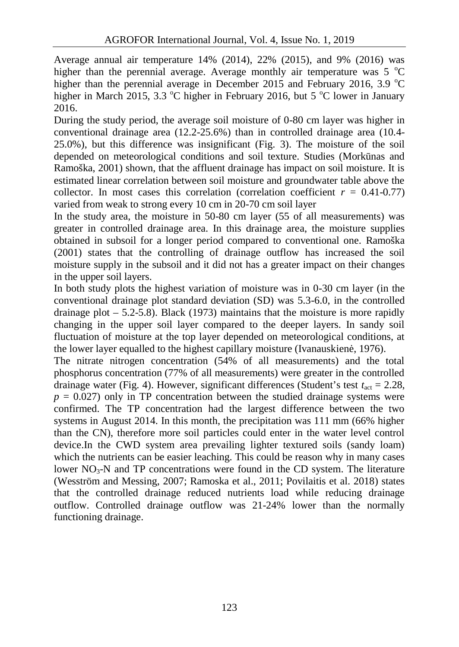Average annual air temperature 14% (2014), 22% (2015), and 9% (2016) was higher than the perennial average. Average monthly air temperature was  $5^{\circ}C$ higher than the perennial average in December 2015 and February 2016, 3.9  $^{\circ}$ C higher in March 2015, 3.3  $\degree$ C higher in February 2016, but 5  $\degree$ C lower in January 2016.

During the study period, the average soil moisture of 0-80 cm layer was higher in conventional drainage area (12.2-25.6%) than in controlled drainage area (10.4- 25.0%), but this difference was insignificant (Fig. 3). The moisture of the soil depended on meteorological conditions and soil texture. Studies (Mork nas and Ramoška, 2001) shown, that the affluent drainage has impact on soil moisture. It is estimated linear correlation between soil moisture and groundwater table above the collector. In most cases this correlation (correlation coefficient  $r = 0.41$ -0.77) varied from weak to strong every 10 cm in 20-70 cm soil layer

In the study area, the moisture in 50-80 cm layer (55 of all measurements) was greater in controlled drainage area. In this drainage area, the moisture supplies obtained in subsoil for a longer period compared to conventional one. Ramoška (2001) states that the controlling of drainage outflow has increased the soil moisture supply in the subsoil and it did not has a greater impact on their changes in the upper soil layers.

In both study plots the highest variation of moisture was in 0-30 cm layer (in the conventional drainage plot standard deviation (SD) was 5.3-6.0, in the controlled drainage plot  $-5.2-5.8$ ). Black (1973) maintains that the moisture is more rapidly changing in the upper soil layer compared to the deeper layers. In sandy soil fluctuation of moisture at the top layer depended on meteorological conditions, at the lower layer equalled to the highest capillary moisture (Ivanauskien, 1976).

The nitrate nitrogen concentration (54% of all measurements) and the total phosphorus concentration (77% of all measurements) were greater in the controlled drainage water (Fig. 4). However, significant differences (Student's test  $t_{\text{act}} = 2.28$ ,  $p = 0.027$ ) only in TP concentration between the studied drainage systems were confirmed. The TP concentration had the largest difference between the two systems in August 2014. In this month, the precipitation was 111 mm (66% higher than the CN), therefore more soil particles could enter in the water level control device.In the CWD system area prevailing lighter textured soils (sandy loam) which the nutrients can be easier leaching. This could be reason why in many cases lower  $NO_3-N$  and TP concentrations were found in the CD system. The literature (Wesström and Messing, 2007; Ramoska et al., 2011; Povilaitis et al. 2018) states that the controlled drainage reduced nutrients load while reducing drainage outflow. Controlled drainage outflow was 21-24% lower than the normally functioning drainage.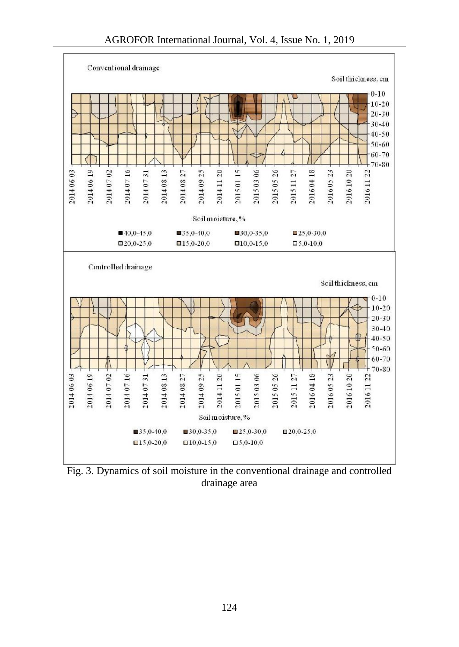

Fig. 3. Dynamics of soil moisture in the conventional drainage and controlled drainage area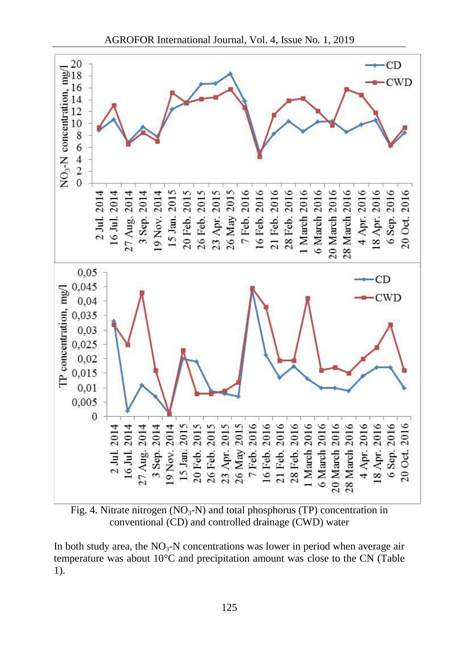

Fig. 4. Nitrate nitrogen  $(NO_3-N)$  and total phosphorus (TP) concentration in conventional (CD) and controlled drainage (CWD) water

In both study area, the  $NO<sub>3</sub>-N$  concentrations was lower in period when average air temperature was about 10°C and precipitation amount was close to the CN (Table 1).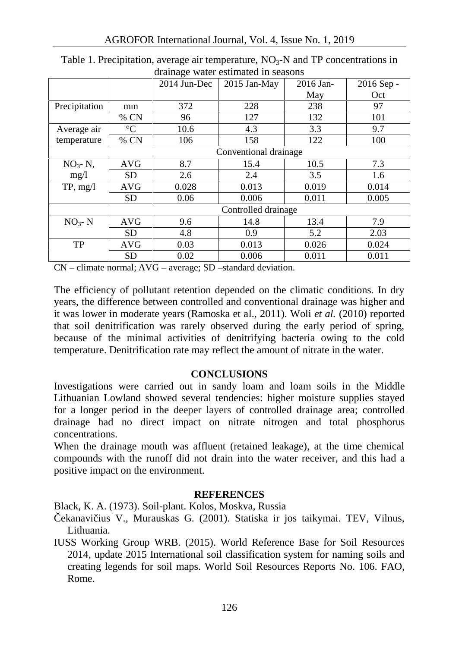|                     |                       | $2014$ Jun-Dec | $2015$ Jan-May | 2016 Jan- | $2016$ Sep - |
|---------------------|-----------------------|----------------|----------------|-----------|--------------|
|                     |                       |                |                | May       | Oct          |
| Precipitation       | mm                    | 372            | 228            | 238       | 97           |
|                     | % CN                  | 96             | 127            | 132       | 101          |
| Average air         | $\rm ^{\circ}C$       | 10.6           | 4.3            | 3.3       | 9.7          |
| temperature         | % CN                  | 106            | 158            | 122       | 100          |
|                     | Conventional drainage |                |                |           |              |
| $NO3 - N$ ,<br>mg/1 | <b>AVG</b>            | 8.7            | 15.4           | 10.5      | 7.3          |
|                     | <b>SD</b>             | 2.6            | 2.4            | 3.5       | 1.6          |
| TP, mg/l            | <b>AVG</b>            | 0.028          | 0.013          | 0.019     | 0.014        |
|                     | <b>SD</b>             | 0.06           | 0.006          | 0.011     | 0.005        |
|                     | Controlled drainage   |                |                |           |              |
| $NO3 - N$           | <b>AVG</b>            | 9.6            | 14.8           | 13.4      | 7.9          |
|                     | <b>SD</b>             | 4.8            | 0.9            | 5.2       | 2.03         |
| TP                  | <b>AVG</b>            | 0.03           | 0.013          | 0.026     | 0.024        |
|                     | <b>SD</b>             | 0.02           | 0.006          | 0.011     | 0.011        |

Table 1. Precipitation, average air temperature,  $NO<sub>3</sub>-N$  and TP concentrations in drainage water estimated in seasons

CN – climate normal; AVG – average; SD –standard deviation.

The efficiency of pollutant retention depended on the climatic conditions. In dry years, the difference between controlled and conventional drainage was higher and it was lower in moderate years (Ramoska et al., 2011). Woli *et al.* (2010) reported that soil denitrification was rarely observed during the early period of spring, because of the minimal activities of denitrifying bacteria owing to the cold temperature. Denitrification rate may reflect the amount of nitrate in the water.

## **CONCLUSIONS**

Investigations were carried out in sandy loam and loam soils in the Middle Lithuanian Lowland showed several tendencies: higher moisture supplies stayed for a longer period in the deeper layers of controlled drainage area; controlled drainage had no direct impact on nitrate nitrogen and total phosphorus concentrations.

When the drainage mouth was affluent (retained leakage), at the time chemical compounds with the runoff did not drain into the water receiver, and this had a positive impact on the environment.

## **REFERENCES**

Black, K. A. (1973). Soil-plant. Kolos, Moskva, Russia

ekanavi ius V., Murauskas G. (2001). Statiska ir jos taikymai. TEV, Vilnus, Lithuania.

IUSS Working Group WRB. (2015). World Reference Base for Soil Resources 2014, update 2015 International soil classification system for naming soils and creating legends for soil maps. World Soil Resources Reports No. 106. FAO, Rome.